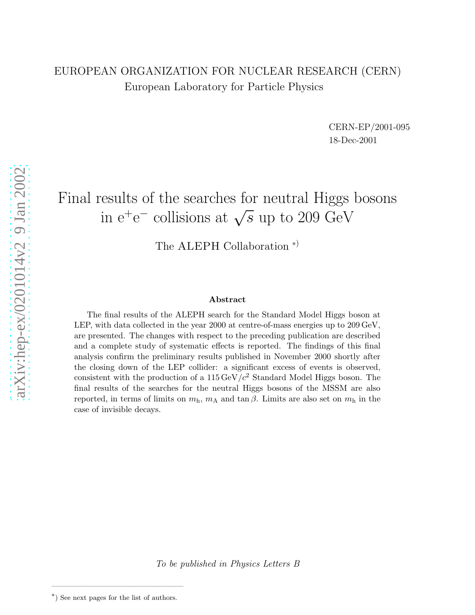# EUROPEAN ORGANIZATION FOR NUCLEAR RESEARCH (CERN) European Laboratory for Particle Physics

CERN-EP/2001-095 18-Dec-2001

# Final results of the searches for neutral Higgs bosons in  $e^+e^-$  collisions at  $\sqrt{s}$  up to 209 GeV

The ALEPH Collaboration<sup>\*)</sup>

#### Abstract

The final results of the ALEPH search for the Standard Model Higgs boson at LEP, with data collected in the year 2000 at centre-of-mass energies up to 209 GeV, are presented. The changes with respect to the preceding publication are described and a complete study of systematic effects is reported. The findings of this final analysis confirm the preliminary results published in November 2000 shortly after the closing down of the LEP collider: a significant excess of events is observed, consistent with the production of a  $115 \,\text{GeV}/c^2$  Standard Model Higgs boson. The final results of the searches for the neutral Higgs bosons of the MSSM are also reported, in terms of limits on  $m_h$ ,  $m_A$  and  $\tan \beta$ . Limits are also set on  $m_h$  in the case of invisible decays.

To be published in Physics Letters B

 $*$ ) See next pages for the list of authors.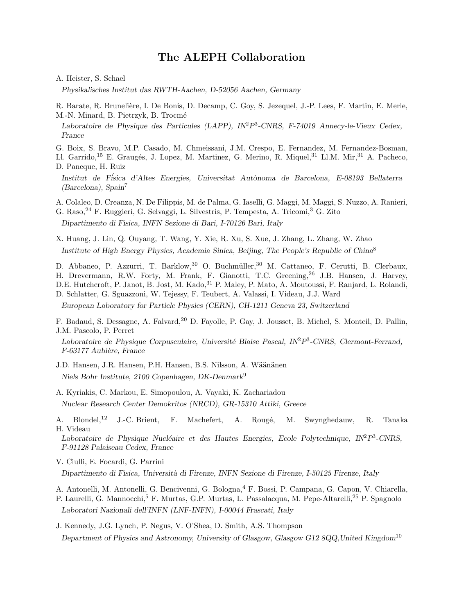### The ALEPH Collaboration

A. Heister, S. Schael

Physikalisches Institut das RWTH-Aachen, D-52056 Aachen, Germany

R. Barate, R. Brunelière, I. De Bonis, D. Decamp, C. Goy, S. Jezequel, J.-P. Lees, F. Martin, E. Merle, M.-N. Minard, B. Pietrzyk, B. Trocmé

Laboratoire de Physique des Particules (LAPP), IN<sup>2</sup>P<sup>3</sup>-CNRS, F-74019 Annecy-le-Vieux Cedex, France

G. Boix, S. Bravo, M.P. Casado, M. Chmeissani, J.M. Crespo, E. Fernandez, M. Fernandez-Bosman, Ll. Garrido,<sup>15</sup> E. Graugés, J. Lopez, M. Martinez, G. Merino, R. Miquel,<sup>31</sup> Ll.M. Mir,<sup>31</sup> A. Pacheco,

D. Paneque, H. Ruiz

Institut de Física d'Altes Energies, Universitat Autònoma de Barcelona, E-08193 Bellaterra (Barcelona), Spain<sup>7</sup>

A. Colaleo, D. Creanza, N. De Filippis, M. de Palma, G. Iaselli, G. Maggi, M. Maggi, S. Nuzzo, A. Ranieri,

G. Raso,<sup>24</sup> F. Ruggieri, G. Selvaggi, L. Silvestris, P. Tempesta, A. Tricomi,<sup>3</sup> G. Zito

Dipartimento di Fisica, INFN Sezione di Bari, I-70126 Bari, Italy

X. Huang, J. Lin, Q. Ouyang, T. Wang, Y. Xie, R. Xu, S. Xue, J. Zhang, L. Zhang, W. Zhao Institute of High Energy Physics, Academia Sinica, Beijing, The People's Republic of China<sup>8</sup>

D. Abbaneo, P. Azzurri, T. Barklow,<sup>30</sup> O. Buchmüller,<sup>30</sup> M. Cattaneo, F. Cerutti, B. Clerbaux, H. Drevermann, R.W. Forty, M. Frank, F. Gianotti, T.C. Greening,<sup>26</sup> J.B. Hansen, J. Harvey, D.E. Hutchcroft, P. Janot, B. Jost, M. Kado, <sup>31</sup> P. Maley, P. Mato, A. Moutoussi, F. Ranjard, L. Rolandi, D. Schlatter, G. Sguazzoni, W. Tejessy, F. Teubert, A. Valassi, I. Videau, J.J. Ward

European Laboratory for Particle Physics (CERN), CH-1211 Geneva 23, Switzerland

F. Badaud, S. Dessagne, A. Falvard,<sup>20</sup> D. Fayolle, P. Gay, J. Jousset, B. Michel, S. Monteil, D. Pallin, J.M. Pascolo, P. Perret

Laboratoire de Physique Corpusculaire, Université Blaise Pascal, IN<sup>2</sup>P<sup>3</sup>-CNRS, Clermont-Ferrand, F-63177 Aubière, France

J.D. Hansen, J.R. Hansen, P.H. Hansen, B.S. Nilsson, A. Wäänänen Niels Bohr Institute, 2100 Copenhagen, DK-Denmark<sup>9</sup>

- A. Kyriakis, C. Markou, E. Simopoulou, A. Vayaki, K. Zachariadou Nuclear Research Center Demokritos (NRCD), GR-15310 Attiki, Greece
- A. Blondel,<sup>12</sup> J.-C. Brient, F. Machefert, A. Rougé, M. Swynghedauw, R. Tanaka H. Videau

Laboratoire de Physique Nucléaire et des Hautes Energies, Ecole Polytechnique, IN<sup>2</sup>P<sup>3</sup>-CNRS, F-91128 Palaiseau Cedex, France

V. Ciulli, E. Focardi, G. Parrini

Dipartimento di Fisica, Universit`a di Firenze, INFN Sezione di Firenze, I-50125 Firenze, Italy

- A. Antonelli, M. Antonelli, G. Bencivenni, G. Bologna,<sup>4</sup> F. Bossi, P. Campana, G. Capon, V. Chiarella,
- P. Laurelli, G. Mannocchi,<sup>5</sup> F. Murtas, G.P. Murtas, L. Passalacqua, M. Pepe-Altarelli,<sup>25</sup> P. Spagnolo Laboratori Nazionali dell'INFN (LNF-INFN), I-00044 Frascati, Italy

J. Kennedy, J.G. Lynch, P. Negus, V. O'Shea, D. Smith, A.S. Thompson Department of Physics and Astronomy, University of Glasgow, Glasgow G12 8QQ,United Kingdom<sup>10</sup>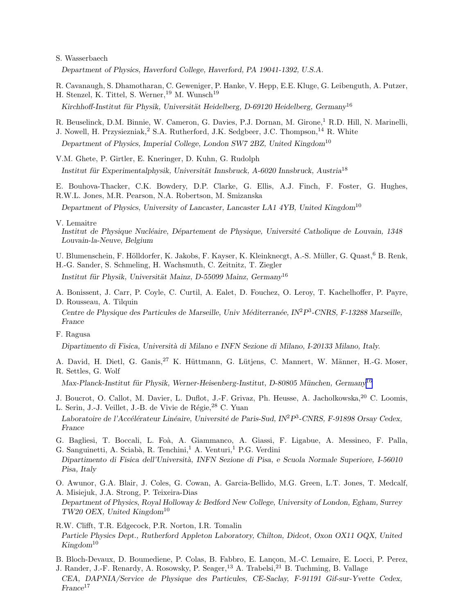#### S. Wasserbaech

Department of Physics, Haverford College, Haverford, PA 19041-1392, U.S.A.

R. Cavanaugh, S. Dhamotharan, C. Geweniger, P. Hanke, V. Hepp, E.E. Kluge, G. Leibenguth, A. Putzer, H. Stenzel, K. Tittel, S. Werner, <sup>19</sup> M. Wunsch<sup>19</sup>

Kirchhoff-Institut für Physik, Universität Heidelberg, D-69120 Heidelberg, Germany<sup>16</sup>

R. Beuselinck, D.M. Binnie, W. Cameron, G. Davies, P.J. Dornan, M. Girone,<sup>1</sup> R.D. Hill, N. Marinelli,

J. Nowell, H. Przysiezniak,<sup>2</sup> S.A. Rutherford, J.K. Sedgbeer, J.C. Thompson,<sup>14</sup> R. White Department of Physics, Imperial College, London SW7 2BZ, United Kingdom<sup>10</sup>

V.M. Ghete, P. Girtler, E. Kneringer, D. Kuhn, G. Rudolph

Institut für Experimentalphysik, Universität Innsbruck, A-6020 Innsbruck, Austria $^{18}$ 

E. Bouhova-Thacker, C.K. Bowdery, D.P. Clarke, G. Ellis, A.J. Finch, F. Foster, G. Hughes, R.W.L. Jones, M.R. Pearson, N.A. Robertson, M. Smizanska

Department of Physics, University of Lancaster, Lancaster LA1 4YB, United Kingdom<sup>10</sup>

V. Lemaitre

Institut de Physique Nucléaire, Département de Physique, Université Catholique de Louvain, 1348 Louvain-la-Neuve, Belgium

U. Blumenschein, F. Hölldorfer, K. Jakobs, F. Kayser, K. Kleinknecgt, A.-S. Müller, G. Quast, <sup>6</sup> B. Renk,

H.-G. Sander, S. Schmeling, H. Wachsmuth, C. Zeitnitz, T. Ziegler

Institut für Physik, Universität Mainz, D-55099 Mainz, Germany<sup>16</sup>

A. Bonissent, J. Carr, P. Coyle, C. Curtil, A. Ealet, D. Fouchez, O. Leroy, T. Kachelhoffer, P. Payre, D. Rousseau, A. Tilquin

Centre de Physique des Particules de Marseille, Univ Méditerranée, IN<sup>2</sup>P<sup>3</sup>-CNRS, F-13288 Marseille, France

F. Ragusa

Dipartimento di Fisica, Università di Milano e INFN Sezione di Milano, I-20133 Milano, Italy.

A. David, H. Dietl, G. Ganis,<sup>27</sup> K. Hüttmann, G. Lütjens, C. Mannert, W. Männer, H.-G. Moser, R. Settles, G. Wolf

Max-Planck-Institut für Physik, Werner-Heisenberg-Institut, D-80805 München, Germany<sup>[16](#page-3-0)</sup>

J. Boucrot, O. Callot, M. Davier, L. Duflot, J.-F. Grivaz, Ph. Heusse, A. Jacholkowska.<sup>20</sup> C. Loomis. L. Serin, J.-J. Veillet, J.-B. de Vivie de Régie, <sup>28</sup> C. Yuan

Laboratoire de l'Accélérateur Linéaire, Université de Paris-Sud, IN<sup>2</sup>P<sup>3</sup>-CNRS, F-91898 Orsay Cedex, France

G. Bagliesi, T. Boccali, L. Foà, A. Giammanco, A. Giassi, F. Ligabue, A. Messineo, F. Palla, G. Sanguinetti, A. Sciabà, R. Tenchini,<sup>1</sup> A. Venturi,<sup>1</sup> P.G. Verdini

Dipartimento di Fisica dell'Universit`a, INFN Sezione di Pisa, e Scuola Normale Superiore, I-56010 Pisa, Italy

O. Awunor, G.A. Blair, J. Coles, G. Cowan, A. Garcia-Bellido, M.G. Green, L.T. Jones, T. Medcalf, A. Misiejuk, J.A. Strong, P. Teixeira-Dias

Department of Physics, Royal Holloway & Bedford New College, University of London, Egham, Surrey  $TW20$  OEX, United Kingdom<sup>10</sup>

R.W. Clifft, T.R. Edgecock, P.R. Norton, I.R. Tomalin Particle Physics Dept., Rutherford Appleton Laboratory, Chilton, Didcot, Oxon OX11 OQX, United  $Kingdom^{10}$ 

B. Bloch-Devaux, D. Boumediene, P. Colas, B. Fabbro, E. Lançon, M.-C. Lemaire, E. Locci, P. Perez,

J. Rander, J.-F. Renardy, A. Rosowsky, P. Seager,<sup>13</sup> A. Trabelsi,<sup>21</sup> B. Tuchming, B. Vallage CEA, DAPNIA/Service de Physique des Particules, CE-Saclay, F-91191 Gif-sur-Yvette Cedex,  $France<sup>17</sup>$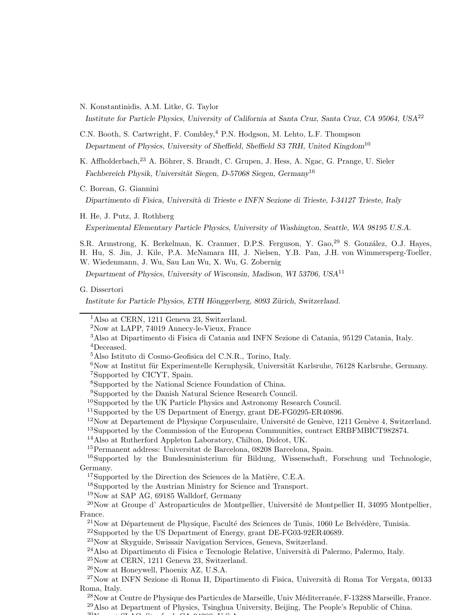<span id="page-3-0"></span>N. Konstantinidis, A.M. Litke, G. Taylor

Institute for Particle Physics, University of California at Santa Cruz, Santa Cruz, CA 95064, USA<sup>22</sup>

C.N. Booth, S. Cartwright, F. Combley,<sup>4</sup> P.N. Hodgson, M. Lehto, L.F. Thompson Department of Physics, University of Sheffield, Sheffield S3 7RH, United Kingdom<sup>10</sup>

K. Affholderbach,<sup>23</sup> A. Böhrer, S. Brandt, C. Grupen, J. Hess, A. Ngac, G. Prange, U. Sieler Fachbereich Physik, Universität Siegen, D-57068 Siegen, Germany<sup>16</sup>

C. Borean, G. Giannini

Dipartimento di Fisica, Università di Trieste e INFN Sezione di Trieste, I-34127 Trieste, Italy

H. He, J. Putz, J. Rothberg

Experimental Elementary Particle Physics, University of Washington, Seattle, WA 98195 U.S.A.

S.R. Armstrong, K. Berkelman, K. Cranmer, D.P.S. Ferguson, Y. Gao, <sup>29</sup> S. González, O.J. Hayes, H. Hu, S. Jin, J. Kile, P.A. McNamara III, J. Nielsen, Y.B. Pan, J.H. von Wimmersperg-Toeller, W. Wiedenmann, J. Wu, Sau Lan Wu, X. Wu, G. Zobernig

Department of Physics, University of Wisconsin, Madison, WI 53706, USA<sup>11</sup>

G. Dissertori

Institute for Particle Physics, ETH Hönggerberg, 8093 Zürich, Switzerland.

<sup>9</sup>Supported by the Danish Natural Science Research Council.

 $12\text{Now at Department de Physique Corpusculaire, Université de Genève, 1211 Genève 4, Switzerland.}$ 

<sup>14</sup>Also at Rutherford Appleton Laboratory, Chilton, Didcot, UK.

 $16$ Supported by the Bundesministerium für Bildung, Wissenschaft, Forschung und Technologie, Germany.

<sup>18</sup>Supported by the Austrian Ministry for Science and Transport.

<sup>19</sup>Now at SAP AG, 69185 Walldorf, Germany

 $^{20}$ Now at Groupe d'Astroparticules de Montpellier, Université de Montpellier II, 34095 Montpellier, France.

 $^{21}$ Now at Département de Physique, Faculté des Sciences de Tunis, 1060 Le Belvédère, Tunisia.

<sup>22</sup>Supported by the US Department of Energy, grant DE-FG03-92ER40689.

- <sup>24</sup>Also at Dipartimento di Fisica e Tecnologie Relative, Università di Palermo, Palermo, Italy.
- <sup>25</sup>Now at CERN, 1211 Geneva 23, Switzerland.

<sup>26</sup>Now at Honeywell, Phoenix AZ, U.S.A.

 $27$ Now at INFN Sezione di Roma II, Dipartimento di Fisica, Università di Roma Tor Vergata, 00133 Roma, Italy.

 $^{28}$ Now at Centre de Physique des Particules de Marseille, Univ Méditerranée, F-13288 Marseille, France. <sup>29</sup>Also at Department of Physics, Tsinghua University, Beijing, The People's Republic of China.

<sup>30</sup>Now at SLAC, Stanford, CA 94309, U.S.A.

<sup>&</sup>lt;sup>1</sup>Also at CERN, 1211 Geneva 23, Switzerland.

<sup>2</sup>Now at LAPP, 74019 Annecy-le-Vieux, France

<sup>3</sup>Also at Dipartimento di Fisica di Catania and INFN Sezione di Catania, 95129 Catania, Italy. <sup>4</sup>Deceased.

<sup>5</sup>Also Istituto di Cosmo-Geofisica del C.N.R., Torino, Italy.

 $6$ Now at Institut für Experimentelle Kernphysik, Universität Karlsruhe, 76128 Karlsruhe, Germany. <sup>7</sup>Supported by CICYT, Spain.

<sup>8</sup>Supported by the National Science Foundation of China.

<sup>10</sup>Supported by the UK Particle Physics and Astronomy Research Council.

<sup>11</sup>Supported by the US Department of Energy, grant DE-FG0295-ER40896.

<sup>13</sup>Supported by the Commission of the European Communities, contract ERBFMBICT982874.

<sup>15</sup>Permanent address: Universitat de Barcelona, 08208 Barcelona, Spain.

 $17$ Supported by the Direction des Sciences de la Matière, C.E.A.

<sup>23</sup>Now at Skyguide, Swissair Navigation Services, Geneva, Switzerland.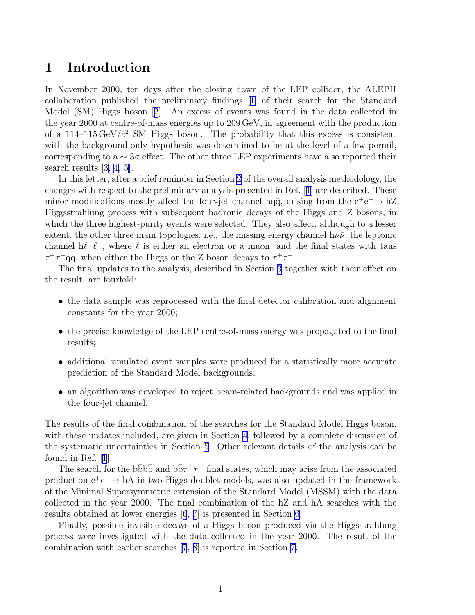## <span id="page-4-0"></span>1 Introduction

In November 2000, ten days after the closing down of the LEP collider, the ALEPH collaboration published the preliminary findings[[1\]](#page-17-0) of their search for the Standard Model (SM) Higgs boson[[2](#page-17-0)]. An excess of events was found in the data collected in the year 2000 at centre-of-mass energies up to 209 GeV, in agreement with the production of a 114–115 GeV/ $c^2$  SM Higgs boson. The probability that this excess is consistent with the background-only hypothesis was determined to be at the level of a few permil, corresponding to a  $\sim 3\sigma$  effect. The other three LEP experiments have also reported their search results[[3, 4, 5\]](#page-17-0).

In this letter, after a brief reminder in Section [2](#page-5-0) of the overall analysis methodology, the changes with respect to the preliminary analysis presented in Ref.[[1](#page-17-0)] are described. These minor modifications mostly affect the four-jet channel hq $\bar{q}$ , arising from the  $e^+e^- \rightarrow hZ$ Higgsstrahlung process with subsequent hadronic decays of the Higgs and Z bosons, in which the three highest-purity events were selected. They also affect, although to a lesser extent, the other three main topologies, i.e., the missing energy channel  $h\nu\bar{\nu}$ , the leptonic channel  $h\ell^+\ell^-$ , where  $\ell$  is either an electron or a muon, and the final states with taus  $\tau^+\tau^-$ qq̃, when either the Higgs or the Z boson decays to  $\tau^+\tau^-$ .

The final updates to the analysis, described in Section [3](#page-6-0) together with their effect on the result, are fourfold:

- the data sample was reprocessed with the final detector calibration and alignment constants for the year 2000;
- the precise knowledge of the LEP centre-of-mass energy was propagated to the final results;
- additional simulated event samples were produced for a statistically more accurate prediction of the Standard Model backgrounds;
- an algorithm was developed to reject beam-related backgrounds and was applied in the four-jet channel.

The results of the final combination of the searches for the Standard Model Higgs boson, with these updates included, are given in Section [4](#page-9-0), followed by a complete discussion of the systematic uncertainties in Section [5](#page-10-0). Other relevant details of the analysis can be found in Ref. [\[1](#page-17-0)].

The search for the b $\bar{b}$ b $\bar{b}$  and  $b\bar{b}\tau^{+}\tau^{-}$  final states, which may arise from the associated production  $e^+e^- \rightarrow hA$  in two-Higgs doublet models, was also updated in the framework of the Minimal Supersymmetric extension of the Standard Model (MSSM) with the data collected in the year 2000. The final combination of the hZ and hA searches with the results obtained at lower energies[[6](#page-18-0), [7](#page-18-0)] is presented in Section [6](#page-13-0).

Finally, possible invisible decays of a Higgs boson produced via the Higgsstrahlung process were investigated with the data collected in the year 2000. The result of the combination with earlier searches [\[7](#page-18-0), [8](#page-18-0)] is reported in Section [7.](#page-14-0)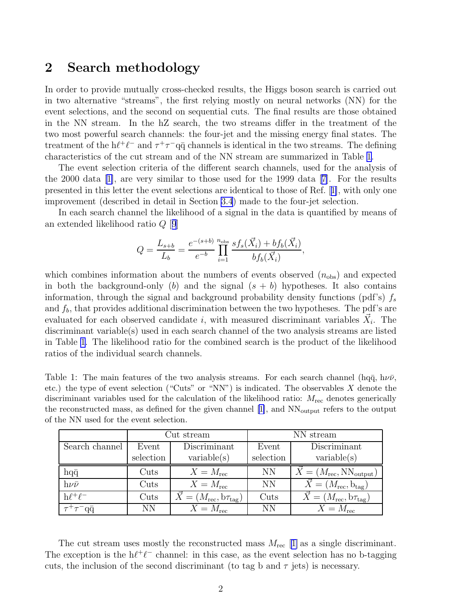# <span id="page-5-0"></span>2 Search methodology

In order to provide mutually cross-checked results, the Higgs boson search is carried out in two alternative "streams", the first relying mostly on neural networks (NN) for the event selections, and the second on sequential cuts. The final results are those obtained in the NN stream. In the hZ search, the two streams differ in the treatment of the two most powerful search channels: the four-jet and the missing energy final states. The treatment of the  $h\ell^+\ell^-$  and  $\tau^+\tau^-q\bar{q}$  channels is identical in the two streams. The defining characteristics of the cut stream and of the NN stream are summarized in Table 1.

The event selection criteria of the different search channels, used for the analysis of the 2000 data[[1\]](#page-17-0), are very similar to those used for the 1999 data[[7\]](#page-18-0). For the results presented in this letter the event selections are identical to those of Ref.[[1\]](#page-17-0), with only one improvement (described in detail in Section [3.4](#page-7-0)) made to the four-jet selection.

In each search channel the likelihood of a signal in the data is quantified by means of an extended likelihood ratio Q [[9](#page-18-0)]

$$
Q = \frac{L_{s+b}}{L_b} = \frac{e^{-(s+b)}}{e^{-b}} \prod_{i=1}^{n_{\text{obs}}} \frac{sf_s(\vec{X}_i) + bf_b(\vec{X}_i)}{bf_b(\vec{X}_i)},
$$

which combines information about the numbers of events observed  $(n_{obs})$  and expected in both the background-only (b) and the signal  $(s + b)$  hypotheses. It also contains information, through the signal and background probability density functions (pdf's)  $f_s$ and  $f<sub>b</sub>$ , that provides additional discrimination between the two hypotheses. The pdf's are evaluated for each observed candidate *i*, with measured discriminant variables  $\vec{X}_i$ . The discriminant variable(s) used in each search channel of the two analysis streams are listed in Table 1. The likelihood ratio for the combined search is the product of the likelihood ratios of the individual search channels.

Table 1: The main features of the two analysis streams. For each search channel (hq $\bar{q}$ , h $\nu\bar{\nu}$ , etc.) the type of event selection ("Cuts" or "NN") is indicated. The observables  $X$  denote the discriminant variables used for the calculation of the likelihood ratio:  $M_{\text{rec}}$  denotes generically the reconstructed mass, as defined for the given channel [\[1\]](#page-17-0), and  $NN_{\text{output}}$  refers to the output of the NN used for the event selection.

|                   |                 | Cut stream                                       | NN stream |                                                         |  |
|-------------------|-----------------|--------------------------------------------------|-----------|---------------------------------------------------------|--|
| Search channel    | Event           | Discriminant                                     | Event     | Discriminant                                            |  |
|                   | selection       | variable(s)                                      | selection | variable(s)                                             |  |
| $hq\bar{q}$       | $\mathrm{Cuts}$ | $X = M_{\text{rec}}$                             | <b>NN</b> | $\dot{X} = (M_{\text{rec}}, \text{NN}_{\text{output}})$ |  |
| $h\nu\bar{\nu}$   | Cuts            | $X = M_{\rm rec}$                                | <b>NN</b> | $\vec{X} = (M_{\text{rec}}, \mathbf{b}_{\text{tag}})$   |  |
| $h\ell^+\ell^-$   | Cuts            | $\vec{X} = (M_{\text{rec}}, b\tau_{\text{tag}})$ | Cuts      | $\dot{X} = (M_{\text{rec}}, b\tau_{\text{tag}})$        |  |
| $\tau^+\tau^-$ qq | NΝ              | $X = M_{\text{rec}}$                             | <b>NN</b> | $X = M_{\text{rec}}$                                    |  |

The cut stream uses mostly the reconstructed mass  $M_{\text{rec}}$  [[1\]](#page-17-0) as a single discriminant. The exception is the  $h\ell^+\ell^-$  channel: in this case, as the event selection has no b-tagging cuts, the inclusion of the second discriminant (to tag b and  $\tau$  jets) is necessary.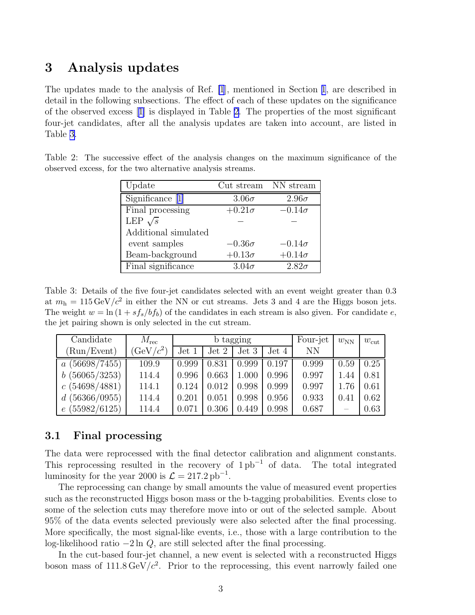## <span id="page-6-0"></span>3 Analysis updates

The updates made to the analysis of Ref. [\[1](#page-17-0)], mentioned in Section [1](#page-4-0), are described in detail in the following subsections. The effect of each of these updates on the significance of the observed excess[[1\]](#page-17-0) is displayed in Table 2. The properties of the most significant four-jet candidates, after all the analysis updates are taken into account, are listed in Table 3.

| Update               | Cut stream    | NN stream     |
|----------------------|---------------|---------------|
| Significance [1]     | $3.06\sigma$  | $2.96\sigma$  |
| Final processing     | $+0.21\sigma$ | $-0.14\sigma$ |
| LEP $\sqrt{s}$       |               |               |
| Additional simulated |               |               |
| event samples        | $-0.36\sigma$ | $-0.14\sigma$ |
| Beam-background      | $+0.13\sigma$ | $+0.14\sigma$ |
| Final significance   | $3.04\sigma$  | $2.82\sigma$  |

Table 2: The successive effect of the analysis changes on the maximum significance of the observed excess, for the two alternative analysis streams.

Table 3: Details of the five four-jet candidates selected with an event weight greater than 0.3 at  $m_h = 115 \,\text{GeV}/c^2$  in either the NN or cut streams. Jets 3 and 4 are the Higgs boson jets. The weight  $w = \ln(1 + s f_s/b f_b)$  of the candidates in each stream is also given. For candidate e, the jet pairing shown is only selected in the cut stream.

| Candidate                      | $M_{\rm rec}$    | b tagging |       |       | Four-jet | $w_{\text{NN}}$ | $w_{\rm cut}$ |      |
|--------------------------------|------------------|-----------|-------|-------|----------|-----------------|---------------|------|
| (Run/Event)                    | $\text{GeV}/c^2$ | Jet 1     | Jet 2 | Jet 3 | Jet 4    | NN              |               |      |
| (56698/7455)<br>$\overline{a}$ | 109.9            | 0.999     | 0.831 | 0.999 | 0.197    | 0.999           | 0.59          | 0.25 |
| b(56065/3253)                  | 114.4            | 0.996     | 0.663 | 1.000 | 0.996    | 0.997           | 1.44          | 0.81 |
| c(54698/4881)                  | 114.1            | 0.124     | 0.012 | 0.998 | 0.999    | 0.997           | 1.76          | 0.61 |
| d(56366/0955)                  | 114.4            | 0.201     | 0.051 | 0.998 | 0.956    | 0.933           | 0.41          | 0.62 |
| e(55982/6125)                  | 114.4            | 0.071     | 0.306 | 0.449 | 0.998    | 0.687           |               | 0.63 |

### 3.1 Final processing

The data were reprocessed with the final detector calibration and alignment constants. This reprocessing resulted in the recovery of  $1\,\mathrm{pb}^{-1}$  of data. The total integrated luminosity for the year 2000 is  $\mathcal{L} = 217.2 \,\mathrm{pb}^{-1}$ .

The reprocessing can change by small amounts the value of measured event properties such as the reconstructed Higgs boson mass or the b-tagging probabilities. Events close to some of the selection cuts may therefore move into or out of the selected sample. About 95% of the data events selected previously were also selected after the final processing. More specifically, the most signal-like events, i.e., those with a large contribution to the log-likelihood ratio −2 ln Q, are still selected after the final processing.

In the cut-based four-jet channel, a new event is selected with a reconstructed Higgs boson mass of  $111.8 \,\text{GeV}/c^2$ . Prior to the reprocessing, this event narrowly failed one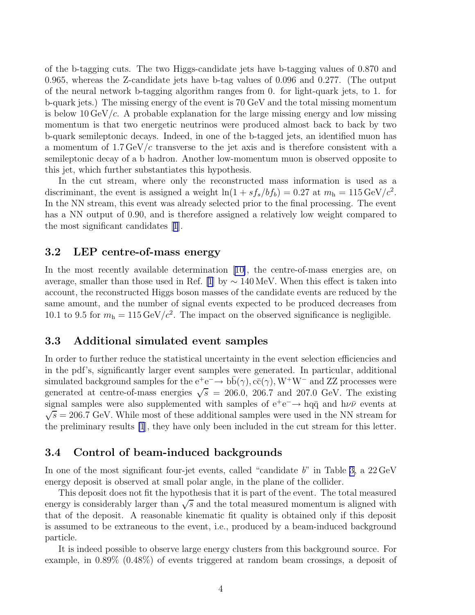<span id="page-7-0"></span>of the b-tagging cuts. The two Higgs-candidate jets have b-tagging values of 0.870 and 0.965, whereas the Z-candidate jets have b-tag values of 0.096 and 0.277. (The output of the neural network b-tagging algorithm ranges from 0. for light-quark jets, to 1. for b-quark jets.) The missing energy of the event is 70 GeV and the total missing momentum is below 10 GeV/ $c$ . A probable explanation for the large missing energy and low missing momentum is that two energetic neutrinos were produced almost back to back by two b-quark semileptonic decays. Indeed, in one of the b-tagged jets, an identified muon has a momentum of  $1.7 \,\text{GeV}/c$  transverse to the jet axis and is therefore consistent with a semileptonic decay of a b hadron. Another low-momentum muon is observed opposite to this jet, which further substantiates this hypothesis.

In the cut stream, where only the reconstructed mass information is used as a discriminant, the event is assigned a weight  $\ln(1 + s f_s/b f_b) = 0.27$  at  $m_h = 115 \,\text{GeV}/c^2$ . In the NN stream, this event was already selected prior to the final processing. The event has a NN output of 0.90, and is therefore assigned a relatively low weight compared to the most significant candidates[[1](#page-17-0)].

### 3.2 LEP centre-of-mass energy

In the most recently available determination [\[10\]](#page-18-0), the centre-of-mass energies are, on average, smaller than those used in Ref. [\[1](#page-17-0)] by  $\sim 140 \,\text{MeV}$ . When this effect is taken into account, the reconstructed Higgs boson masses of the candidate events are reduced by the same amount, and the number of signal events expected to be produced decreases from 10.1 to 9.5 for  $m_h = 115 \,\text{GeV}/c^2$ . The impact on the observed significance is negligible.

#### 3.3 Additional simulated event samples

In order to further reduce the statistical uncertainty in the event selection efficiencies and in the pdf's, significantly larger event samples were generated. In particular, additional simulated background samples for the  $e^+e^- \to b\bar{b}(\gamma)$ ,  $c\bar{c}(\gamma)$ ,  $W^+W^-$  and ZZ processes were generated at centre-of-mass energies  $\sqrt{s}$  = 206.0, 206.7 and 207.0 GeV. The existing signal samples were also supplemented with samples of  $e^+e^- \rightarrow hq\bar{q}$  and  $h\nu\bar{\nu}$  events at  $\sqrt{s}$  = 206.7 GeV. While most of these additional samples were used in the NN stream for the preliminary results [\[1](#page-17-0)], they have only been included in the cut stream for this letter.

#### 3.4 Control of beam-induced backgrounds

In one of the most significant four-jet events, called "candidate  $b$ " in Table [3,](#page-6-0) a 22 GeV energy deposit is observed at small polar angle, in the plane of the collider.

This deposit does not fit the hypothesis that it is part of the event. The total measured energy is considerably larger than  $\sqrt{s}$  and the total measured momentum is aligned with that of the deposit. A reasonable kinematic fit quality is obtained only if this deposit is assumed to be extraneous to the event, i.e., produced by a beam-induced background particle.

It is indeed possible to observe large energy clusters from this background source. For example, in 0.89% (0.48%) of events triggered at random beam crossings, a deposit of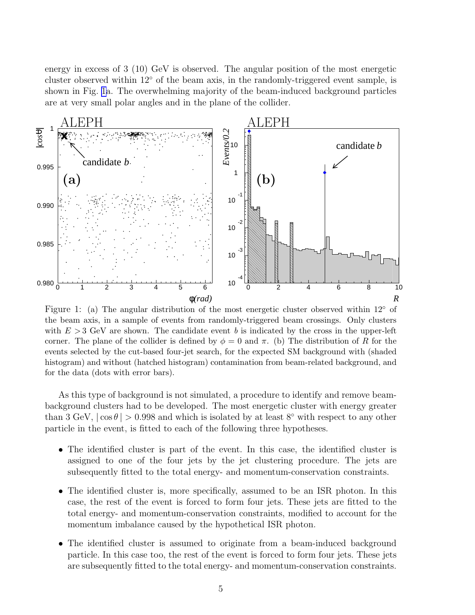<span id="page-8-0"></span>energy in excess of 3 (10) GeV is observed. The angular position of the most energetic cluster observed within 12◦ of the beam axis, in the randomly-triggered event sample, is shown in Fig. 1a. The overwhelming majority of the beam-induced background particles are at very small polar angles and in the plane of the collider.



Figure 1: (a) The angular distribution of the most energetic cluster observed within  $12^{\circ}$  of the beam axis, in a sample of events from randomly-triggered beam crossings. Only clusters with  $E > 3$  GeV are shown. The candidate event b is indicated by the cross in the upper-left corner. The plane of the collider is defined by  $\phi = 0$  and  $\pi$ . (b) The distribution of R for the events selected by the cut-based four-jet search, for the expected SM background with (shaded histogram) and without (hatched histogram) contamination from beam-related background, and for the data (dots with error bars).

As this type of background is not simulated, a procedure to identify and remove beambackground clusters had to be developed. The most energetic cluster with energy greater than 3 GeV,  $|\cos \theta| > 0.998$  and which is isolated by at least 8° with respect to any other particle in the event, is fitted to each of the following three hypotheses.

- The identified cluster is part of the event. In this case, the identified cluster is assigned to one of the four jets by the jet clustering procedure. The jets are subsequently fitted to the total energy- and momentum-conservation constraints.
- The identified cluster is, more specifically, assumed to be an ISR photon. In this case, the rest of the event is forced to form four jets. These jets are fitted to the total energy- and momentum-conservation constraints, modified to account for the momentum imbalance caused by the hypothetical ISR photon.
- The identified cluster is assumed to originate from a beam-induced background particle. In this case too, the rest of the event is forced to form four jets. These jets are subsequently fitted to the total energy- and momentum-conservation constraints.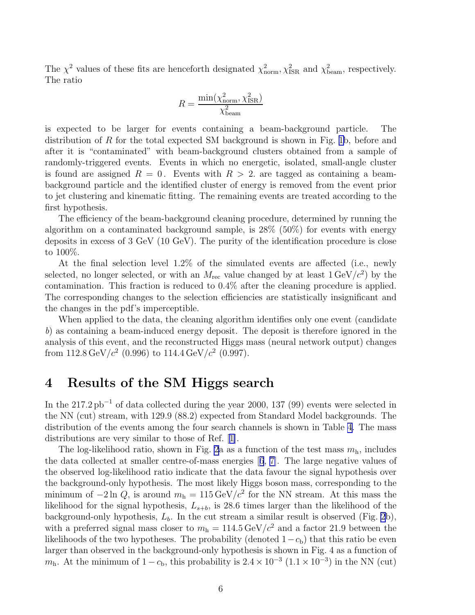<span id="page-9-0"></span>The  $\chi^2$  values of these fits are henceforth designated  $\chi^2_{\text{norm}}$ ,  $\chi^2_{\text{ISR}}$  and  $\chi^2_{\text{beam}}$ , respectively. The ratio

$$
R = \frac{\min(\chi^2_{\text{norm}}, \chi^2_{\text{ISR}})}{\chi^2_{\text{beam}}}
$$

is expected to be larger for events containing a beam-background particle. The distribution of R for the total expected SM background is shown in Fig. [1b](#page-8-0), before and after it is "contaminated" with beam-background clusters obtained from a sample of randomly-triggered events. Events in which no energetic, isolated, small-angle cluster is found are assigned  $R = 0$ . Events with  $R > 2$ , are tagged as containing a beambackground particle and the identified cluster of energy is removed from the event prior to jet clustering and kinematic fitting. The remaining events are treated according to the first hypothesis.

The efficiency of the beam-background cleaning procedure, determined by running the algorithm on a contaminated background sample, is 28% (50%) for events with energy deposits in excess of 3 GeV (10 GeV). The purity of the identification procedure is close to 100%.

At the final selection level 1.2% of the simulated events are affected (i.e., newly selected, no longer selected, or with an  $M_{\text{rec}}$  value changed by at least  $1 \text{ GeV}/c^2$ ) by the contamination. This fraction is reduced to 0.4% after the cleaning procedure is applied. The corresponding changes to the selection efficiencies are statistically insignificant and the changes in the pdf's imperceptible.

When applied to the data, the cleaning algorithm identifies only one event (candidate b) as containing a beam-induced energy deposit. The deposit is therefore ignored in the analysis of this event, and the reconstructed Higgs mass (neural network output) changes from 112.8 GeV/ $c^2$  (0.996) to 114.4 GeV/ $c^2$  (0.997).

## 4 Results of the SM Higgs search

In the  $217.2 \text{ pb}^{-1}$  of data collected during the year 2000, 137 (99) events were selected in the NN (cut) stream, with 129.9 (88.2) expected from Standard Model backgrounds. The distribution of the events among the four search channels is shown in Table [4](#page-10-0). The mass distributions are very similar to those of Ref.[[1\]](#page-17-0).

The log-likelihood ratio, shown in Fig. [2](#page-11-0)a as a function of the test mass  $m<sub>h</sub>$ , includes the data collected at smaller centre-of-mass energies[[6](#page-18-0), [7\]](#page-18-0). The large negative values of the observed log-likelihood ratio indicate that the data favour the signal hypothesis over the background-only hypothesis. The most likely Higgs boson mass, corresponding to the minimum of  $-2 \ln Q$ , is around  $m_h = 115 \,\text{GeV}/c^2$  for the NN stream. At this mass the likelihood for the signal hypothesis,  $L_{s+b}$ , is 28.6 times larger than the likelihood of the background-only hypothesis,  $L<sub>b</sub>$ . In the cut stream a similar result is observed (Fig. [2](#page-11-0)b), with a preferred signal mass closer to  $m<sub>h</sub> = 114.5 \text{ GeV}/c^2$  and a factor 21.9 between the likelihoods of the two hypotheses. The probability (denoted  $1-c<sub>b</sub>$ ) that this ratio be even larger than observed in the background-only hypothesis is shown in Fig. 4 as a function of  $m<sub>h</sub>$ . At the minimum of  $1 - c<sub>b</sub>$ , this probability is  $2.4 \times 10^{-3}$   $(1.1 \times 10^{-3})$  in the NN (cut)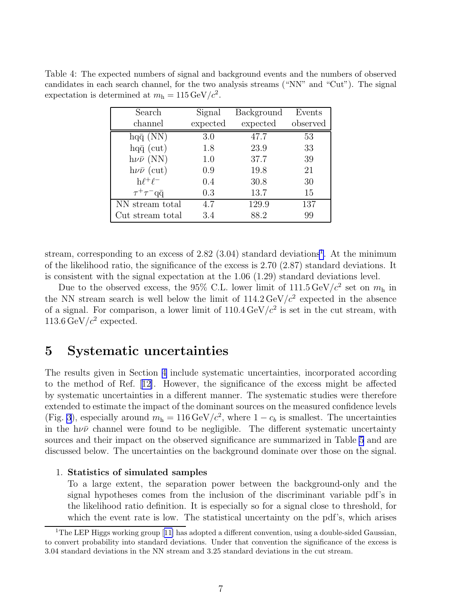<span id="page-10-0"></span>Table 4: The expected numbers of signal and background events and the numbers of observed candidates in each search channel, for the two analysis streams ("NN" and "Cut"). The signal expectation is determined at  $m_h = 115 \,\text{GeV}/c^2$ .

| Search                | Signal   | Background | Events   |
|-----------------------|----------|------------|----------|
| channel               | expected | expected   | observed |
| $hq\bar{q}$ (NN)      | 3.0      | 47.7       | 53       |
| $hq\bar{q}$ (cut)     | 1.8      | 23.9       | 33       |
| $h\nu\bar{\nu}$ (NN)  | 1.0      | 37.7       | 39       |
| $h\nu\bar{\nu}$ (cut) | 0.9      | 19.8       | 21       |
| $h\ell^+\ell^-$       | 0.4      | 30.8       | 30       |
| $\tau^+\tau^-$ qq     | 0.3      | 13.7       | 15       |
| NN stream total       | 4.7      | 129.9      | 137      |
| Cut stream total      | 3.4      | 88.2       | 99       |

stream, corresponding to an excess of  $2.82$   $(3.04)$  standard deviations<sup>1</sup>. At the minimum of the likelihood ratio, the significance of the excess is 2.70 (2.87) standard deviations. It is consistent with the signal expectation at the 1.06 (1.29) standard deviations level.

Due to the observed excess, the 95% C.L. lower limit of  $111.5 \,\text{GeV}/c^2$  set on  $m<sub>h</sub>$  in the NN stream search is well below the limit of  $114.2 \,\text{GeV}/c^2$  expected in the absence of a signal. For comparison, a lower limit of  $110.4 \,\text{GeV}/c^2$  is set in the cut stream, with 113.6 GeV/ $c^2$  expected.

## 5 Systematic uncertainties

The results given in Section [4](#page-9-0) include systematic uncertainties, incorporated according to the method of Ref.[[12\]](#page-18-0). However, the significance of the excess might be affected by systematic uncertainties in a different manner. The systematic studies were therefore extended to estimate the impact of the dominant sources on the measured confidence levels (Fig. [3](#page-12-0)), especially around  $m_h = 116 \,\text{GeV}/c^2$ , where  $1 - c_b$  is smallest. The uncertainties in the  $h\nu\bar{\nu}$  channel were found to be negligible. The different systematic uncertainty sources and their impact on the observed significance are summarized in Table [5](#page-13-0) and are discussed below. The uncertainties on the background dominate over those on the signal.

#### 1. Statistics of simulated samples

To a large extent, the separation power between the background-only and the signal hypotheses comes from the inclusion of the discriminant variable pdf's in the likelihood ratio definition. It is especially so for a signal close to threshold, for which the event rate is low. The statistical uncertainty on the pdf's, which arises

<sup>&</sup>lt;sup>1</sup>TheLEP Higgs working group [[11\]](#page-18-0) has adopted a different convention, using a double-sided Gaussian, to convert probability into standard deviations. Under that convention the significance of the excess is 3.04 standard deviations in the NN stream and 3.25 standard deviations in the cut stream.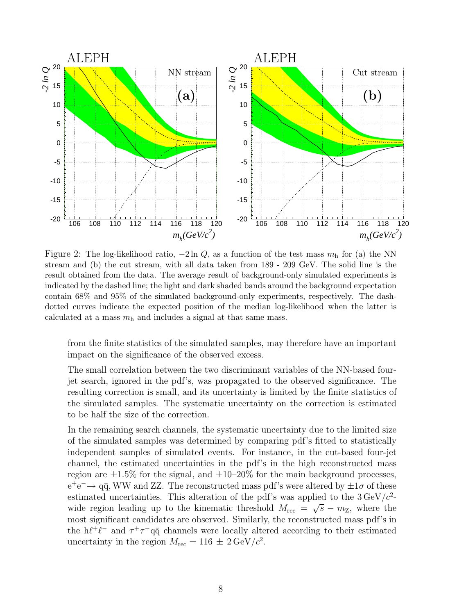<span id="page-11-0"></span>

Figure 2: The log-likelihood ratio,  $-2 \ln Q$ , as a function of the test mass  $m<sub>h</sub>$  for (a) the NN stream and (b) the cut stream, with all data taken from 189 - 209 GeV. The solid line is the result obtained from the data. The average result of background-only simulated experiments is indicated by the dashed line; the light and dark shaded bands around the background expectation contain 68% and 95% of the simulated background-only experiments, respectively. The dashdotted curves indicate the expected position of the median log-likelihood when the latter is calculated at a mass  $m<sub>h</sub>$  and includes a signal at that same mass.

from the finite statistics of the simulated samples, may therefore have an important impact on the significance of the observed excess.

The small correlation between the two discriminant variables of the NN-based fourjet search, ignored in the pdf's, was propagated to the observed significance. The resulting correction is small, and its uncertainty is limited by the finite statistics of the simulated samples. The systematic uncertainty on the correction is estimated to be half the size of the correction.

In the remaining search channels, the systematic uncertainty due to the limited size of the simulated samples was determined by comparing pdf's fitted to statistically independent samples of simulated events. For instance, in the cut-based four-jet channel, the estimated uncertainties in the pdf's in the high reconstructed mass region are  $\pm 1.5\%$  for the signal, and  $\pm 10$ –20% for the main background processes,  $e^+e^- \rightarrow q\bar{q}$ , WW and ZZ. The reconstructed mass pdf's were altered by  $\pm 1\sigma$  of these estimated uncertainties. This alteration of the pdf's was applied to the  $3 \text{ GeV}/c^2$ wide region leading up to the kinematic threshold  $M_{\text{rec}} = \sqrt{s} - m_{\text{Z}}$ , where the most significant candidates are observed. Similarly, the reconstructed mass pdf's in the  $h\ell^+\ell^-$  and  $\tau^+\tau^-q\bar{q}$  channels were locally altered according to their estimated uncertainty in the region  $M_{\text{rec}} = 116 \pm 2 \,\text{GeV}/c^2$ .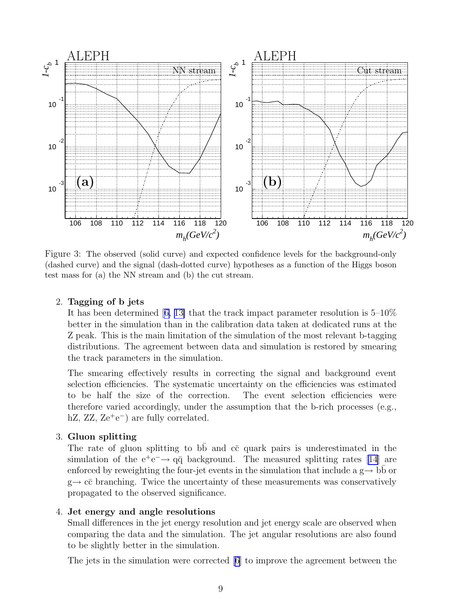<span id="page-12-0"></span>

Figure 3: The observed (solid curve) and expected confidence levels for the background-only (dashed curve) and the signal (dash-dotted curve) hypotheses as a function of the Higgs boson test mass for (a) the NN stream and (b) the cut stream.

#### 2. Tagging of b jets

It has been determined[[6, 13\]](#page-18-0) that the track impact parameter resolution is 5–10% better in the simulation than in the calibration data taken at dedicated runs at the Z peak. This is the main limitation of the simulation of the most relevant b-tagging distributions. The agreement between data and simulation is restored by smearing the track parameters in the simulation.

The smearing effectively results in correcting the signal and background event selection efficiencies. The systematic uncertainty on the efficiencies was estimated to be half the size of the correction. The event selection efficiencies were therefore varied accordingly, under the assumption that the b-rich processes (e.g., hZ, ZZ, Ze<sup>+</sup>e<sup>-</sup>) are fully correlated.

#### 3. Gluon splitting

The rate of gluon splitting to  $b\overline{b}$  and  $c\overline{c}$  quark pairs is underestimated in the simulation of the  $e^+e^- \rightarrow q\bar{q}$  background. The measured splitting rates [\[14\]](#page-18-0) are enforced by reweighting the four-jet events in the simulation that include a  $g \rightarrow$  bb or  $g \rightarrow c\bar{c}$  branching. Twice the uncertainty of these measurements was conservatively propagated to the observed significance.

#### 4. Jet energy and angle resolutions

Small differences in the jet energy resolution and jet energy scale are observed when comparing the data and the simulation. The jet angular resolutions are also found to be slightly better in the simulation.

The jets in the simulation were corrected [\[6\]](#page-18-0) to improve the agreement between the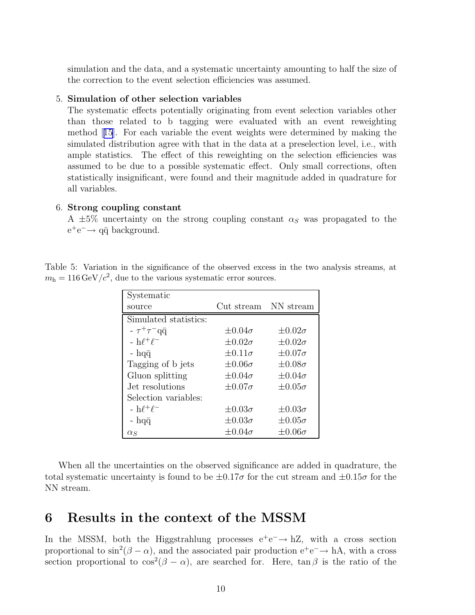<span id="page-13-0"></span>simulation and the data, and a systematic uncertainty amounting to half the size of the correction to the event selection efficiencies was assumed.

#### 5. Simulation of other selection variables

The systematic effects potentially originating from event selection variables other than those related to b tagging were evaluated with an event reweighting method[[15](#page-18-0)]. For each variable the event weights were determined by making the simulated distribution agree with that in the data at a preselection level, i.e., with ample statistics. The effect of this reweighting on the selection efficiencies was assumed to be due to a possible systematic effect. Only small corrections, often statistically insignificant, were found and their magnitude added in quadrature for all variables.

#### 6. Strong coupling constant

A  $\pm 5\%$  uncertainty on the strong coupling constant  $\alpha_s$  was propagated to the  $e^+e^- \rightarrow q\bar{q}$  background.

Table 5: Variation in the significance of the observed excess in the two analysis streams, at  $m_h = 116 \,\text{GeV}/c^2$ , due to the various systematic error sources.

| Systematic                  |                      |                  |
|-----------------------------|----------------------|------------------|
| source                      | Cut stream NN stream |                  |
| Simulated statistics:       |                      |                  |
| $- \tau^+ \tau^- q \bar{q}$ | $\pm 0.04\sigma$     | $\pm 0.02\sigma$ |
| $-h\ell^+\ell^-$            | $\pm 0.02\sigma$     | $\pm 0.02\sigma$ |
| - hqq                       | $\pm 0.11\sigma$     | $\pm 0.07\sigma$ |
| Tagging of b jets           | $\pm 0.06\sigma$     | $\pm 0.08\sigma$ |
| Gluon splitting             | $\pm 0.04\sigma$     | $\pm 0.04\sigma$ |
| Jet resolutions             | $\pm 0.07\sigma$     | $\pm 0.05\sigma$ |
| Selection variables:        |                      |                  |
| $-h\ell^+\ell^-$            | $\pm 0.03\sigma$     | $\pm 0.03\sigma$ |
| - hq $\bar{q}$              | $\pm 0.03\sigma$     | $\pm 0.05\sigma$ |
| $\alpha_S$                  | $\pm 0.04\sigma$     | $\pm 0.06\sigma$ |

When all the uncertainties on the observed significance are added in quadrature, the total systematic uncertainty is found to be  $\pm 0.17\sigma$  for the cut stream and  $\pm 0.15\sigma$  for the NN stream.

### 6 Results in the context of the MSSM

In the MSSM, both the Higgstrahlung processes  $e^+e^- \rightarrow hZ$ , with a cross section proportional to  $\sin^2(\beta - \alpha)$ , and the associated pair production  $e^+e^- \rightarrow hA$ , with a cross section proportional to  $\cos^2(\beta - \alpha)$ , are searched for. Here,  $\tan \beta$  is the ratio of the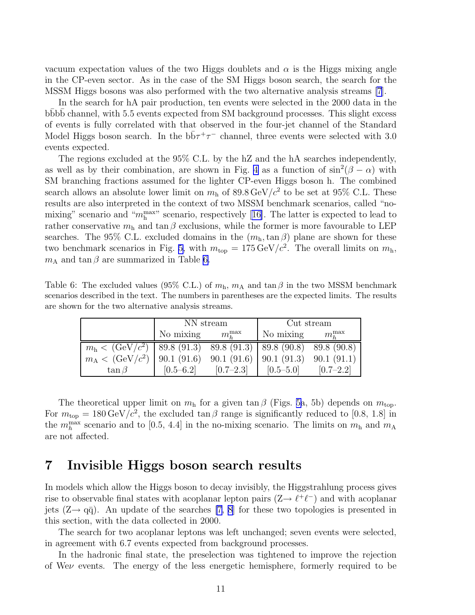<span id="page-14-0"></span>vacuum expectation values of the two Higgs doublets and  $\alpha$  is the Higgs mixing angle in the CP-even sector. As in the case of the SM Higgs boson search, the search for the MSSM Higgs bosons was also performed with the two alternative analysis streams [\[7](#page-18-0)].

In the search for hA pair production, ten events were selected in the 2000 data in the bbbb channel, with 5.5 events expected from SM background processes. This slight excess of events is fully correlated with that observed in the four-jet channel of the Standard Model Higgs boson search. In the  $b\bar{b}\tau^+\tau^-$  channel, three events were selected with 3.0 events expected.

The regions excluded at the 95% C.L. by the hZ and the hA searches independently, as well as by their combination, are shown in Fig. [4](#page-15-0) as a function of  $\sin^2(\beta - \alpha)$  with SM branching fractions assumed for the lighter CP-even Higgs boson h. The combined search allows an absolute lower limit on  $m<sub>h</sub>$  of  $89.8 \,\text{GeV}/c^2$  to be set at  $95\%$  C.L. These results are also interpreted in the context of two MSSM benchmark scenarios, called "nomixing"scenario and " $m_h^{\text{max}}$ " scenario, respectively [[16\]](#page-18-0). The latter is expected to lead to rather conservative  $m_h$  and  $\tan \beta$  exclusions, while the former is more favourable to LEP searches. The 95% C.L. excluded domains in the  $(m_h, \tan \beta)$  plane are shown for these two benchmark scenarios in Fig. [5,](#page-15-0) with  $m_{\text{top}} = 175 \,\text{GeV}/c^2$ . The overall limits on  $m_{\text{h}}$ ,  $m_A$  and  $\tan \beta$  are summarized in Table 6.

Table 6: The excluded values (95% C.L.) of  $m_h$ ,  $m_A$  and  $\tan \beta$  in the two MSSM benchmark scenarios described in the text. The numbers in parentheses are the expected limits. The results are shown for the two alternative analysis streams.

|                                                                       | NN stream     |                | Cut stream    |                |  |
|-----------------------------------------------------------------------|---------------|----------------|---------------|----------------|--|
|                                                                       | No mixing     | $m_{h}^{\max}$ | No mixing     | $m_{k}^{\max}$ |  |
| $m_h < (GeV/c^2)$   89.8 (91.3) 89.8 (91.3)   89.8 (90.8) 89.8 (90.8) |               |                |               |                |  |
| $m_A < (GeV/c^2)$   90.1 (91.6) 90.1 (91.6)   90.1 (91.3) 90.1 (91.1) |               |                |               |                |  |
| $\tan \beta$                                                          | $[0.5 - 6.2]$ | $[0.7 - 2.3]$  | $[0.5 - 5.0]$ | $[0.7 - 2.2]$  |  |

The theoretical upper limit on  $m_h$  for a given tan  $\beta$  (Figs. [5a](#page-15-0), 5b) depends on  $m_{\text{top}}$ . For  $m_{\text{top}} = 180 \,\text{GeV}/c^2$ , the excluded tan  $\beta$  range is significantly reduced to [0.8, 1.8] in the  $m_h^{\text{max}}$  scenario and to [0.5, 4.4] in the no-mixing scenario. The limits on  $m_h$  and  $m_A$ are not affected.

### 7 Invisible Higgs boson search results

In models which allow the Higgs boson to decay invisibly, the Higgstrahlung process gives rise to observable final states with acoplanar lepton pairs  $(Z \to \ell^+ \ell^-)$  and with acoplanar jets  $(Z \rightarrow q\bar{q})$ . An update of the searches [\[7](#page-18-0), [8\]](#page-18-0) for these two topologies is presented in this section, with the data collected in 2000.

The search for two acoplanar leptons was left unchanged; seven events were selected, in agreement with 6.7 events expected from background processes.

In the hadronic final state, the preselection was tightened to improve the rejection of Weν events. The energy of the less energetic hemisphere, formerly required to be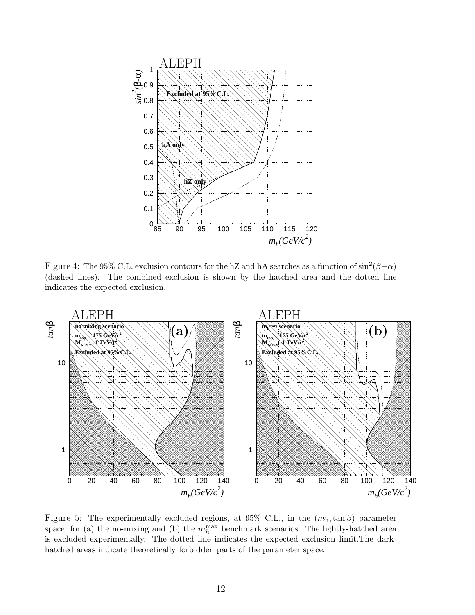<span id="page-15-0"></span>

Figure 4: The 95% C.L. exclusion contours for the hZ and hA searches as a function of  $\sin^2(\beta-\alpha)$ (dashed lines). The combined exclusion is shown by the hatched area and the dotted line indicates the expected exclusion.



Figure 5: The experimentally excluded regions, at  $95\%$  C.L., in the  $(m_h, \tan \beta)$  parameter space, for (a) the no-mixing and (b) the  $m_h^{\text{max}}$  benchmark scenarios. The lightly-hatched area is excluded experimentally. The dotted line indicates the expected exclusion limit.The darkhatched areas indicate theoretically forbidden parts of the parameter space.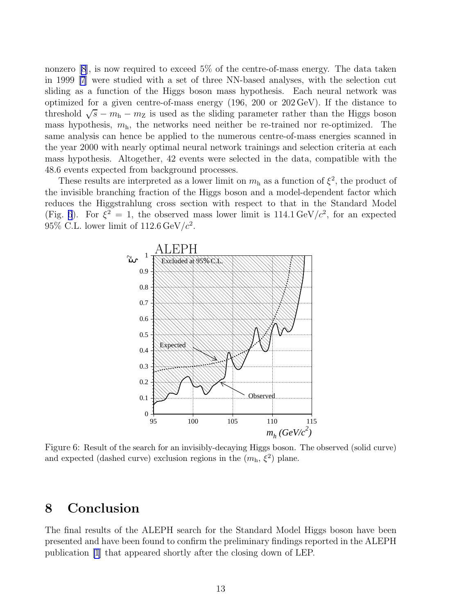nonzero [\[8](#page-18-0)], is now required to exceed 5% of the centre-of-mass energy. The data taken in 1999 [\[7](#page-18-0)] were studied with a set of three NN-based analyses, with the selection cut sliding as a function of the Higgs boson mass hypothesis. Each neural network was optimized for a given centre-of-mass energy (196, 200 or 202 GeV). If the distance to threshold  $\sqrt{s} - m_h - m_Z$  is used as the sliding parameter rather than the Higgs boson mass hypothesis,  $m_h$ , the networks need neither be re-trained nor re-optimized. The same analysis can hence be applied to the numerous centre-of-mass energies scanned in the year 2000 with nearly optimal neural network trainings and selection criteria at each mass hypothesis. Altogether, 42 events were selected in the data, compatible with the 48.6 events expected from background processes.

These results are interpreted as a lower limit on  $m<sub>h</sub>$  as a function of  $\xi^2$ , the product of the invisible branching fraction of the Higgs boson and a model-dependent factor which reduces the Higgstrahlung cross section with respect to that in the Standard Model (Fig. 6). For  $\xi^2 = 1$ , the observed mass lower limit is 114.1 GeV/ $c^2$ , for an expected 95% C.L. lower limit of  $112.6 \,\text{GeV}/c^2$ .



Figure 6: Result of the search for an invisibly-decaying Higgs boson. The observed (solid curve) and expected (dashed curve) exclusion regions in the  $(m_h, \xi^2)$  plane.

### 8 Conclusion

The final results of the ALEPH search for the Standard Model Higgs boson have been presented and have been found to confirm the preliminary findings reported in the ALEPH publication [\[1](#page-17-0)] that appeared shortly after the closing down of LEP.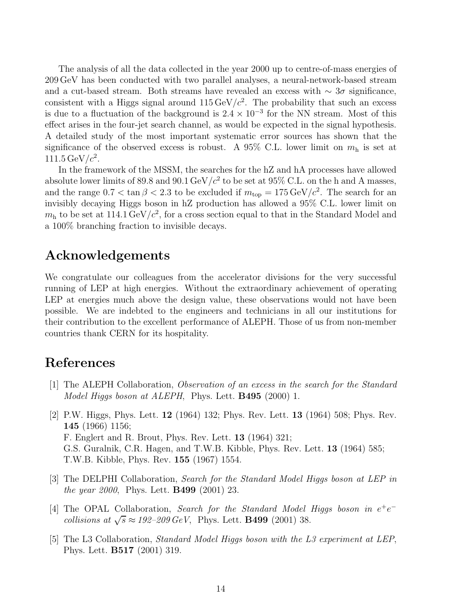<span id="page-17-0"></span>The analysis of all the data collected in the year 2000 up to centre-of-mass energies of 209 GeV has been conducted with two parallel analyses, a neural-network-based stream and a cut-based stream. Both streams have revealed an excess with  $\sim 3\sigma$  significance, consistent with a Higgs signal around  $115 \,\text{GeV}/c^2$ . The probability that such an excess is due to a fluctuation of the background is  $2.4 \times 10^{-3}$  for the NN stream. Most of this effect arises in the four-jet search channel, as would be expected in the signal hypothesis. A detailed study of the most important systematic error sources has shown that the significance of the observed excess is robust. A 95% C.L. lower limit on  $m<sub>h</sub>$  is set at 111.5 GeV/ $c^2$ .

In the framework of the MSSM, the searches for the hZ and hA processes have allowed absolute lower limits of 89.8 and 90.1 GeV/ $c^2$  to be set at 95% C.L. on the h and A masses, and the range  $0.7 < \tan \beta < 2.3$  to be excluded if  $m_{\text{top}} = 175 \,\text{GeV}/c^2$ . The search for an invisibly decaying Higgs boson in hZ production has allowed a 95% C.L. lower limit on  $m<sub>h</sub>$  to be set at 114.1 GeV/ $c<sup>2</sup>$ , for a cross section equal to that in the Standard Model and a 100% branching fraction to invisible decays.

# Acknowledgements

We congratulate our colleagues from the accelerator divisions for the very successful running of LEP at high energies. Without the extraordinary achievement of operating LEP at energies much above the design value, these observations would not have been possible. We are indebted to the engineers and technicians in all our institutions for their contribution to the excellent performance of ALEPH. Those of us from non-member countries thank CERN for its hospitality.

# References

- [1] The ALEPH Collaboration, Observation of an excess in the search for the Standard Model Higgs boson at ALEPH, Phys. Lett. **B495** (2000) 1.
- [2] P.W. Higgs, Phys. Lett. 12 (1964) 132; Phys. Rev. Lett. 13 (1964) 508; Phys. Rev. 145 (1966) 1156; F. Englert and R. Brout, Phys. Rev. Lett. 13 (1964) 321; G.S. Guralnik, C.R. Hagen, and T.W.B. Kibble, Phys. Rev. Lett. 13 (1964) 585; T.W.B. Kibble, Phys. Rev. 155 (1967) 1554.
- [3] The DELPHI Collaboration, Search for the Standard Model Higgs boson at LEP in the year 2000, Phys. Lett. B499 (2001) 23.
- [4] The OPAL Collaboration, Search for the Standard Model Higgs boson in  $e^+e^$ collisions at  $\sqrt{s} \approx 192-209 \text{ GeV}$ , Phys. Lett. **B499** (2001) 38.
- [5] The L3 Collaboration, Standard Model Higgs boson with the L3 experiment at LEP, Phys. Lett. B517 (2001) 319.